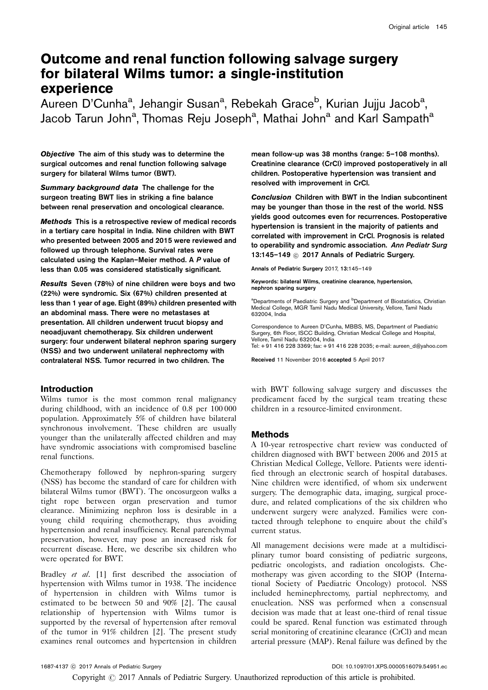# Outcome and renal function following salvage surgery for bilateral Wilms tumor: a single-institution experience

Aureen D'Cunha<sup>a</sup>, Jehangir Susan<sup>a</sup>, Rebekah Grace<sup>b</sup>, Kurian Jujju Jacob<sup>a</sup>, Jacob Tarun John<sup>a</sup>, Thomas Reju Joseph<sup>a</sup>, Mathai John<sup>a</sup> and Karl Sampath<sup>a</sup>

Objective The aim of this study was to determine the surgical outcomes and renal function following salvage surgery for bilateral Wilms tumor (BWT).

Summary background data The challenge for the surgeon treating BWT lies in striking a fine balance between renal preservation and oncological clearance.

Methods This is a retrospective review of medical records in a tertiary care hospital in India. Nine children with BWT who presented between 2005 and 2015 were reviewed and followed up through telephone. Survival rates were calculated using the Kaplan–Meier method. A P value of less than 0.05 was considered statistically significant.

Results Seven (78%) of nine children were boys and two (22%) were syndromic. Six (67%) children presented at less than 1 year of age. Eight (89%) children presented with an abdominal mass. There were no metastases at presentation. All children underwent trucut biopsy and neoadjuvant chemotherapy. Six children underwent surgery: four underwent bilateral nephron sparing surgery (NSS) and two underwent unilateral nephrectomy with contralateral NSS. Tumor recurred in two children. The

# **Introduction**

Wilms tumor is the most common renal malignancy during childhood, with an incidence of 0.8 per 100 000 population. Approximately 5% of children have bilateral synchronous involvement. These children are usually younger than the unilaterally affected children and may have syndromic associations with compromised baseline renal functions.

Chemotherapy followed by nephron-sparing surgery (NSS) has become the standard of care for children with bilateral Wilms tumor (BWT). The oncosurgeon walks a tight rope between organ preservation and tumor clearance. Minimizing nephron loss is desirable in a young child requiring chemotherapy, thus avoiding hypertension and renal insufficiency. Renal parenchymal preservation, however, may pose an increased risk for recurrent disease. Here, we describe six children who were operated for BWT.

Bradley et al. [\[1](#page-4-0)] first described the association of hypertension with Wilms tumor in 1938. The incidence of hypertension in children with Wilms tumor is estimated to be between 50 and 90% [\[2\]](#page-4-0). The causal relationship of hypertension with Wilms tumor is supported by the reversal of hypertension after removal of the tumor in 91% children [\[2](#page-4-0)]. The present study examines renal outcomes and hypertension in children

mean follow-up was 38 months (range: 5–108 months). Creatinine clearance (CrCl) improved postoperatively in all children. Postoperative hypertension was transient and resolved with improvement in CrCl.

Conclusion Children with BWT in the Indian subcontinent may be younger than those in the rest of the world. NSS yields good outcomes even for recurrences. Postoperative hypertension is transient in the majority of patients and correlated with improvement in CrCl. Prognosis is related to operability and syndromic association. Ann Pediatr Surg 13:145-149 <sup>©</sup> 2017 Annals of Pediatric Surgery.

Annals of Pediatric Surgery 2017, 13:145–149

Keywords: bilateral Wilms, creatinine clearance, hypertension, nephron sparing surgery

<sup>a</sup>Departments of Paediatric Surgery and <sup>b</sup>Department of Biostatistics, Christian Medical College, MGR Tamil Nadu Medical University, Vellore, Tamil Nadu 632004, India

Correspondence to Aureen D'Cunha, MBBS, MS, Department of Paediatric Surgery, 6th Floor, ISCC Building, Christian Medical College and Hospital, Vellore, Tamil Nadu 632004, India Tel: + 91 416 228 3369; fax: + 91 416 228 2035; e-mail: [aureen\\_d@yahoo.com](mailto:aureen_d@yahoo.com)

Received 11 November 2016 accepted 5 April 2017

with BWT following salvage surgery and discusses the predicament faced by the surgical team treating these children in a resource-limited environment.

# Methods

A 10-year retrospective chart review was conducted of children diagnosed with BWT between 2006 and 2015 at Christian Medical College, Vellore. Patients were identified through an electronic search of hospital databases. Nine children were identified, of whom six underwent surgery. The demographic data, imaging, surgical procedure, and related complications of the six children who underwent surgery were analyzed. Families were contacted through telephone to enquire about the child's current status.

All management decisions were made at a multidisciplinary tumor board consisting of pediatric surgeons, pediatric oncologists, and radiation oncologists. Chemotherapy was given according to the SIOP (International Society of Paediatric Oncology) protocol. NSS included heminephrectomy, partial nephrectomy, and enucleation. NSS was performed when a consensual decision was made that at least one-third of renal tissue could be spared. Renal function was estimated through serial monitoring of creatinine clearance (CrCl) and mean arterial pressure (MAP). Renal failure was defined by the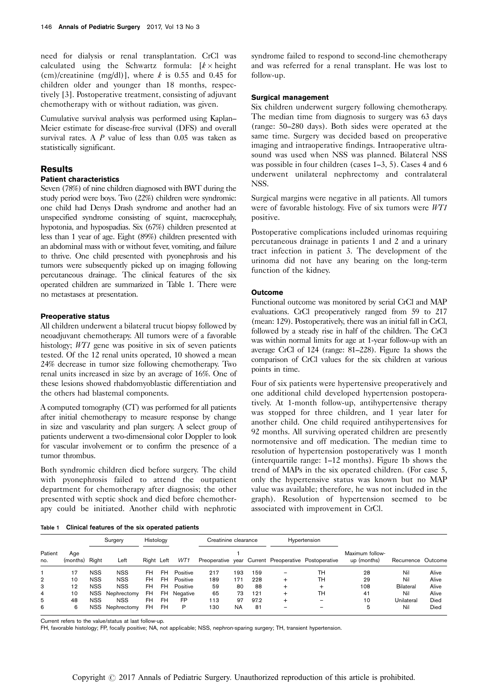need for dialysis or renal transplantation. CrCl was calculated using the Schwartz formula:  $[k \times \text{height}]$ (cm)/creatinine (mg/dl)], where  $k$  is 0.55 and 0.45 for children older and younger than 18 months, respectively [\[3](#page-4-0)]. Postoperative treatment, consisting of adjuvant chemotherapy with or without radiation, was given.

Cumulative survival analysis was performed using Kaplan– Meier estimate for disease-free survival (DFS) and overall survival rates. A  $P$  value of less than 0.05 was taken as statistically significant.

#### Results

### Patient characteristics

Seven (78%) of nine children diagnosed with BWT during the study period were boys. Two (22%) children were syndromic: one child had Denys Drash syndrome and another had an unspecified syndrome consisting of squint, macrocephaly, hypotonia, and hypospadias. Six (67%) children presented at less than 1 year of age. Eight (89%) children presented with an abdominal mass with or without fever, vomiting, and failure to thrive. One child presented with pyonephrosis and his tumors were subsequently picked up on imaging following percutaneous drainage. The clinical features of the six operated children are summarized in Table 1. There were no metastases at presentation.

#### Preoperative status

All children underwent a bilateral trucut biopsy followed by neoadjuvant chemotherapy. All tumors were of a favorable histology; WT1 gene was positive in six of seven patients tested. Of the 12 renal units operated, 10 showed a mean 24% decrease in tumor size following chemotherapy. Two renal units increased in size by an average of 16%. One of these lesions showed rhabdomyoblastic differentiation and the others had blastemal components.

A computed tomography (CT) was performed for all patients after initial chemotherapy to measure response by change in size and vascularity and plan surgery. A select group of patients underwent a two-dimensional color Doppler to look for vascular involvement or to confirm the presence of a tumor thrombus.

Both syndromic children died before surgery. The child with pyonephrosis failed to attend the outpatient department for chemotherapy after diagnosis; the other presented with septic shock and died before chemotherapy could be initiated. Another child with nephrotic

syndrome failed to respond to second-line chemotherapy and was referred for a renal transplant. He was lost to follow-up.

#### Surgical management

Six children underwent surgery following chemotherapy. The median time from diagnosis to surgery was 63 days (range: 50–280 days). Both sides were operated at the same time. Surgery was decided based on preoperative imaging and intraoperative findings. Intraoperative ultrasound was used when NSS was planned. Bilateral NSS was possible in four children (cases 1–3, 5). Cases 4 and 6 underwent unilateral nephrectomy and contralateral NSS.

Surgical margins were negative in all patients. All tumors were of favorable histology. Five of six tumors were WT1 positive.

Postoperative complications included urinomas requiring percutaneous drainage in patients 1 and 2 and a urinary tract infection in patient 3. The development of the urinoma did not have any bearing on the long-term function of the kidney.

#### Outcome

Functional outcome was monitored by serial CrCl and MAP evaluations. CrCl preoperatively ranged from 59 to 217 (mean: 129). Postoperatively, there was an initial fall in CrCl, followed by a steady rise in half of the children. The CrCl was within normal limits for age at 1-year follow-up with an average CrCl of 124 (range: 81–228). [Figure 1a](#page-2-0) shows the comparison of CrCl values for the six children at various points in time.

Four of six patients were hypertensive preoperatively and one additional child developed hypertension postoperatively. At 1-month follow-up, antihypertensive therapy was stopped for three children, and 1 year later for another child. One child required antihypertensives for 92 months. All surviving operated children are presently normotensive and off medication. The median time to resolution of hypertension postoperatively was 1 month (interquartile range: 1–12 months). [Figure 1b](#page-2-0) shows the trend of MAPs in the six operated children. (For case 5, only the hypertensive status was known but no MAP value was available; therefore, he was not included in the graph). Resolution of hypertension seemed to be associated with improvement in CrCl.

Table 1 Clinical features of the six operated patients

| Patient<br>no. | Age<br>(months) | Surgery    |             | Histology  |           |          | Creatinine clearance |           |      | Hypertension |                                                      |                                |                    |       |
|----------------|-----------------|------------|-------------|------------|-----------|----------|----------------------|-----------|------|--------------|------------------------------------------------------|--------------------------------|--------------------|-------|
|                |                 | Right      | Left        | Right Left |           | WT1      |                      |           |      |              | Preoperative year Current Preoperative Postoperative | Maximum follow-<br>up (months) | Recurrence Outcome |       |
|                | 17              | <b>NSS</b> | <b>NSS</b>  | FH         | FH.       | Positive | 217                  | 193       | 159  |              | TH                                                   | 28                             | Nil                | Alive |
| $\overline{2}$ | 10              | <b>NSS</b> | <b>NSS</b>  | FH         | <b>FH</b> | Positive | 189                  | 171       | 228  | $\div$       | TH                                                   | 29                             | Nil                | Alive |
| З              | 12              | <b>NSS</b> | <b>NSS</b>  | FH         | <b>FH</b> | Positive | 59                   | 80        | 88   | +            | +                                                    | 108                            | Bilateral          | Alive |
| 4              | 10              | NSS.       | Nephrectomy | FH         | <b>FH</b> | Negative | 65                   | 73        | 121  |              | TH                                                   | 41                             | Nil                | Alive |
| 5              | 48              | <b>NSS</b> | <b>NSS</b>  | FH         | <b>FH</b> | FP       | 113                  | 97        | 97.2 |              |                                                      | 10                             | Unilateral         | Died  |
| 6              | 6               | NSS.       | Nephrectomy | FH         | FH        | P        | 130                  | <b>NA</b> | 81   |              |                                                      | 5                              | Nil                | Died  |

Current refers to the value/status at last follow-up.

FH, favorable histology; FP, focally positive; NA, not applicable; NSS, nephron-sparing surgery; TH, transient hypertension.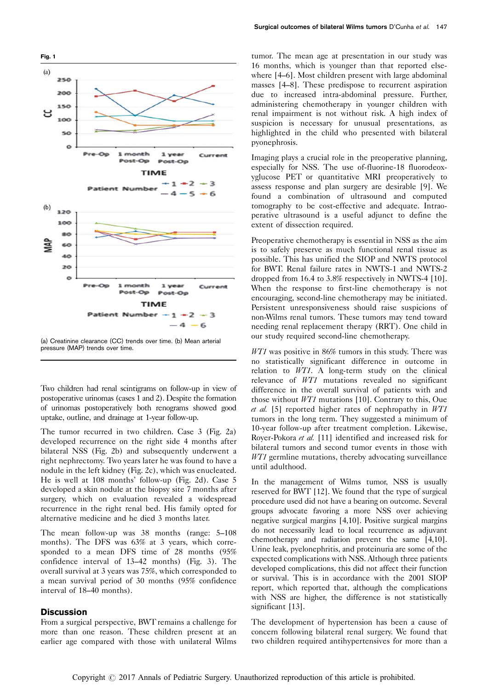<span id="page-2-0"></span>

(a) Creatinine clearance (CC) trends over time. (b) Mean arterial pressure (MAP) trends over time.

Two children had renal scintigrams on follow-up in view of postoperative urinomas (cases 1 and 2). Despite the formation of urinomas postoperatively both renograms showed good uptake, outline, and drainage at 1-year follow-up.

The tumor recurred in two children. Case 3 [\(Fig. 2a\)](#page-3-0) developed recurrence on the right side 4 months after bilateral NSS ([Fig. 2b\)](#page-3-0) and subsequently underwent a right nephrectomy. Two years later he was found to have a nodule in the left kidney [\(Fig. 2c](#page-3-0)), which was enucleated. He is well at 108 months' follow-up ([Fig. 2d\)](#page-3-0). Case 5 developed a skin nodule at the biopsy site 7 months after surgery, which on evaluation revealed a widespread recurrence in the right renal bed. His family opted for alternative medicine and he died 3 months later.

The mean follow-up was 38 months (range: 5–108 months). The DFS was 63% at 3 years, which corresponded to a mean DFS time of 28 months (95% confidence interval of 13–42 months) [\(Fig. 3\)](#page-3-0). The overall survival at 3 years was 75%, which corresponded to a mean survival period of 30 months (95% confidence interval of 18–40 months).

## **Discussion**

From a surgical perspective, BWT remains a challenge for more than one reason. These children present at an earlier age compared with those with unilateral Wilms

tumor. The mean age at presentation in our study was 16 months, which is younger than that reported elsewhere [\[4–6\]](#page-4-0). Most children present with large abdominal masses [\[4–8\]](#page-4-0). These predispose to recurrent aspiration due to increased intra-abdominal pressure. Further, administering chemotherapy in younger children with renal impairment is not without risk. A high index of suspicion is necessary for unusual presentations, as highlighted in the child who presented with bilateral pyonephrosis.

Imaging plays a crucial role in the preoperative planning, especially for NSS. The use of-fluorine-18 fluorodeoxyglucose PET or quantitative MRI preoperatively to assess response and plan surgery are desirable [\[9\]](#page-4-0). We found a combination of ultrasound and computed tomography to be cost-effective and adequate. Intraoperative ultrasound is a useful adjunct to define the extent of dissection required.

Preoperative chemotherapy is essential in NSS as the aim is to safely preserve as much functional renal tissue as possible. This has unified the SIOP and NWTS protocol for BWT. Renal failure rates in NWTS-1 and NWTS-2 dropped from 16.4 to 3.8% respectively in NWTS-4 [\[10](#page-4-0)]. When the response to first-line chemotherapy is not encouraging, second-line chemotherapy may be initiated. Persistent unresponsiveness should raise suspicions of non-Wilms renal tumors. These tumors may tend toward needing renal replacement therapy (RRT). One child in our study required second-line chemotherapy.

WT1 was positive in 86% tumors in this study. There was no statistically significant difference in outcome in relation to WT1. A long-term study on the clinical relevance of WT1 mutations revealed no significant difference in the overall survival of patients with and those without WT1 mutations [\[10](#page-4-0)]. Contrary to this, Oue et al. [\[5\]](#page-4-0) reported higher rates of nephropathy in  $WT1$ tumors in the long term. They suggested a minimum of 10-year follow-up after treatment completion. Likewise, Royer-Pokora et al. [\[11\]](#page-4-0) identified and increased risk for bilateral tumors and second tumor events in those with WT1 germline mutations, thereby advocating surveillance until adulthood.

In the management of Wilms tumor, NSS is usually reserved for BWT [\[12](#page-4-0)]. We found that the type of surgical procedure used did not have a bearing on outcome. Several groups advocate favoring a more NSS over achieving negative surgical margins [\[4,10\]](#page-4-0). Positive surgical margins do not necessarily lead to local recurrence as adjuvant chemotherapy and radiation prevent the same [\[4,10](#page-4-0)]. Urine leak, pyelonephritis, and proteinuria are some of the expected complications with NSS. Although three patients developed complications, this did not affect their function or survival. This is in accordance with the 2001 SIOP report, which reported that, although the complications with NSS are higher, the difference is not statistically significant [\[13\]](#page-4-0).

The development of hypertension has been a cause of concern following bilateral renal surgery. We found that two children required antihypertensives for more than a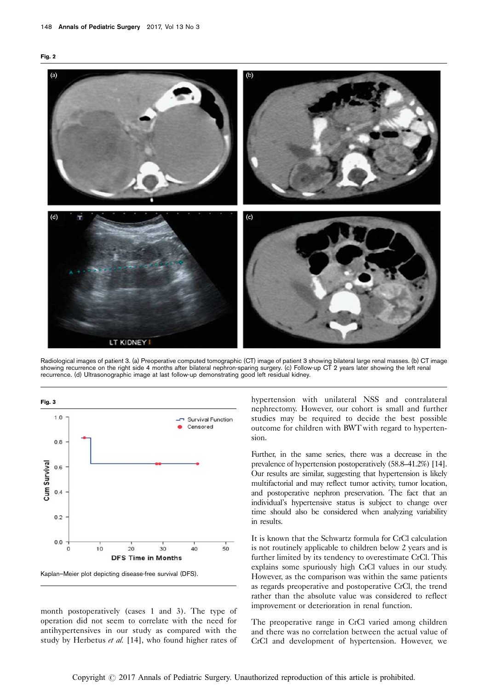<span id="page-3-0"></span>



Radiological images of patient 3. (a) Preoperative computed tomographic (CT) image of patient 3 showing bilateral large renal masses. (b) CT image showing recurrence on the right side 4 months after bilateral nephron-sparing surgery. (c) Follow-up CT 2 years later showing the left renal recurrence. (d) Ultrasonographic image at last follow-up demonstrating good left residual kidney.



month postoperatively (cases 1 and 3). The type of operation did not seem to correlate with the need for antihypertensives in our study as compared with the study by Herbetus et al. [\[14\]](#page-4-0), who found higher rates of

hypertension with unilateral NSS and contralateral nephrectomy. However, our cohort is small and further studies may be required to decide the best possible outcome for children with BWT with regard to hypertension.

Further, in the same series, there was a decrease in the prevalence of hypertension postoperatively (58.8–41.2%) [\[14](#page-4-0)]. Our results are similar, suggesting that hypertension is likely multifactorial and may reflect tumor activity, tumor location, and postoperative nephron preservation. The fact that an individual's hypertensive status is subject to change over time should also be considered when analyzing variability in results.

It is known that the Schwartz formula for CrCl calculation is not routinely applicable to children below 2 years and is further limited by its tendency to overestimate CrCl. This explains some spuriously high CrCl values in our study. However, as the comparison was within the same patients as regards preoperative and postoperative CrCl, the trend rather than the absolute value was considered to reflect improvement or deterioration in renal function.

The preoperative range in CrCl varied among children and there was no correlation between the actual value of CrCl and development of hypertension. However, we